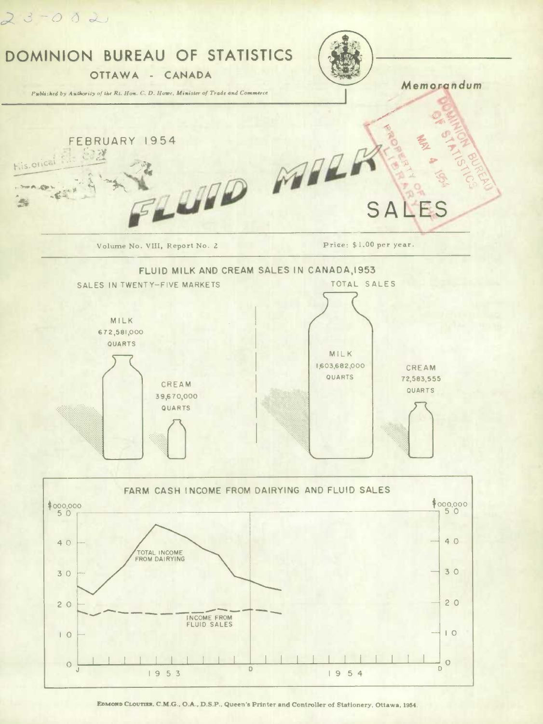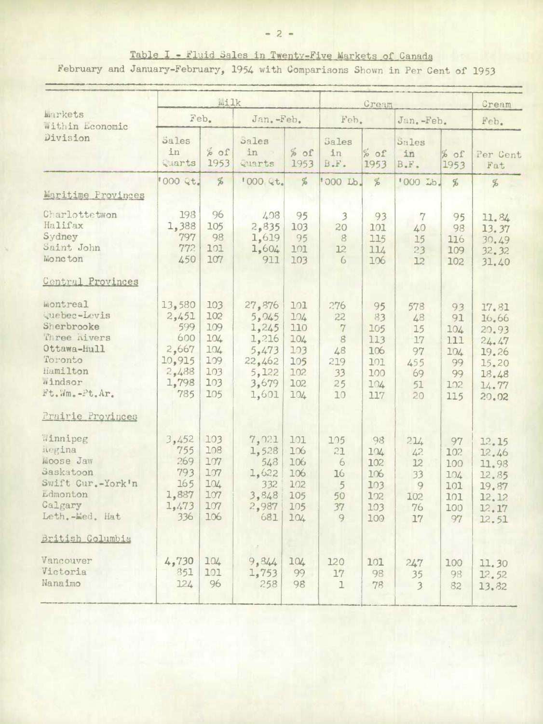February and January-February, 1954 with Comparisons Shown in Per Cent of 1953

|                                                                                                                                                                                  |                                                                           | Milk                                                        |                                                                                 |                                                             | Cream                                                                     |                                                           |                                                      |                                                         | Cream                                                                         |
|----------------------------------------------------------------------------------------------------------------------------------------------------------------------------------|---------------------------------------------------------------------------|-------------------------------------------------------------|---------------------------------------------------------------------------------|-------------------------------------------------------------|---------------------------------------------------------------------------|-----------------------------------------------------------|------------------------------------------------------|---------------------------------------------------------|-------------------------------------------------------------------------------|
| Markets<br>Within Leonomic                                                                                                                                                       |                                                                           | Feb.                                                        | Jan. -Feb.                                                                      |                                                             |                                                                           | Feb.                                                      |                                                      | Jan. -Feb.                                              |                                                                               |
| Division                                                                                                                                                                         | Sales<br>in<br>Quarts                                                     | $%$ of<br>1953                                              | Sales<br>in<br>Quarts                                                           | % of<br>1953                                                | Sales<br>in<br>B.F.                                                       | $20\%$<br>1953                                            | Sales<br>in<br>B.F.                                  | % of<br>1953                                            | Per Cent<br>Fat                                                               |
| Maritime Provinces                                                                                                                                                               | 000 Qt.                                                                   | %                                                           | <b>'000 Qt.</b>                                                                 | %                                                           | '000 Lb.                                                                  | %                                                         | '000 Lb.                                             | %                                                       | %                                                                             |
| Charlottetwon<br>Halifax<br>Sydney<br>Saint John<br>Moncton                                                                                                                      | 198<br>1,388<br>797<br>772<br>450                                         | 96<br>105<br>98<br>101<br>107                               | 408<br>2,835<br>1,619<br>1,604<br>911                                           | 95<br>103<br>95<br>101<br>103                               | 3<br>20<br>8<br>12<br>6                                                   | 93<br>101<br>115<br>114<br>106                            | 7<br>40<br>15<br>23<br>12                            | 95<br>98<br>116<br>109<br>102                           | 11.84<br>13.37<br>30.49<br>32.32<br>31.40                                     |
| <b>Central Provinces</b><br><b>Montreal</b><br>Quebec-Levis<br>Sherbrooke<br>Three hivers<br>Ottawa-Hull<br>Toronto<br>Hamilton<br>Windsor<br>Ft.Wm.-Pt.Ar.<br>Prairie Provinces | 13,580<br>2,451<br>599<br>600<br>2,667<br>10,915<br>2,488<br>1,798<br>785 | 103<br>102<br>109<br>104<br>104<br>109<br>103<br>103<br>105 | 27,876<br>5,045<br>1,245<br>1,216<br>5,473<br>22,462<br>5,122<br>3,679<br>1,601 | 101<br>104<br>110<br>104<br>103<br>105<br>102<br>102<br>104 | 276<br>22<br>$\mathcal{V}$<br>$\mathbf{g}$<br>48<br>219<br>33<br>25<br>10 | 95<br>83<br>105<br>113<br>106<br>101<br>100<br>104<br>117 | 578<br>48<br>15<br>17<br>97<br>455<br>69<br>51<br>20 | 93<br>91<br>104<br>111<br>104<br>99<br>99<br>102<br>115 | 17.81<br>16.66<br>20.93<br>24.47<br>19.26<br>15.20<br>18.48<br>14.77<br>20.02 |
| Winnipeg<br>hegina<br>Moose Jaw<br>Saskatoon<br>Swift Cur.-York'n<br>Ldmonton<br>Calgary<br>Leth.-Med. Hat                                                                       | 3,452<br>755<br>269<br>793<br>165<br>1,887<br>1,473<br>336                | 103<br>108<br>107<br>107<br>104<br>107<br>107<br>106        | 7,021<br>1,528<br>548<br>1,622<br>332<br>3,848<br>2,987<br>681                  | 101<br>106<br>106<br>106<br>102<br>105<br>105<br>104        | 105<br>21<br>6<br>16<br>5<br>50<br>37<br>9                                | 98<br>104<br>102<br>106<br>103<br>102<br>103<br>100       | 214<br>42.<br>12<br>33<br>9<br>102<br>76<br>17       | 97<br>102<br>100<br>104<br>101<br>101<br>100<br>97      | 12.15<br>12.46<br>11.98<br>12.85<br>19.87<br>12.12<br>12.17<br>12.51          |
| British Columbia<br>Vancouver<br>Victoria<br>Nanaimo                                                                                                                             | 4,730<br>851<br>124                                                       | 104<br>101<br>96                                            | 9,844<br>1,753<br>258                                                           | 104<br>99<br>98                                             | 120<br>17<br>$\mathbf{I}$                                                 | 101<br>98<br>78                                           | 247<br>35<br>$\overline{3}$                          | 100<br>98<br>82                                         | 11.30<br>12.52<br>13.82                                                       |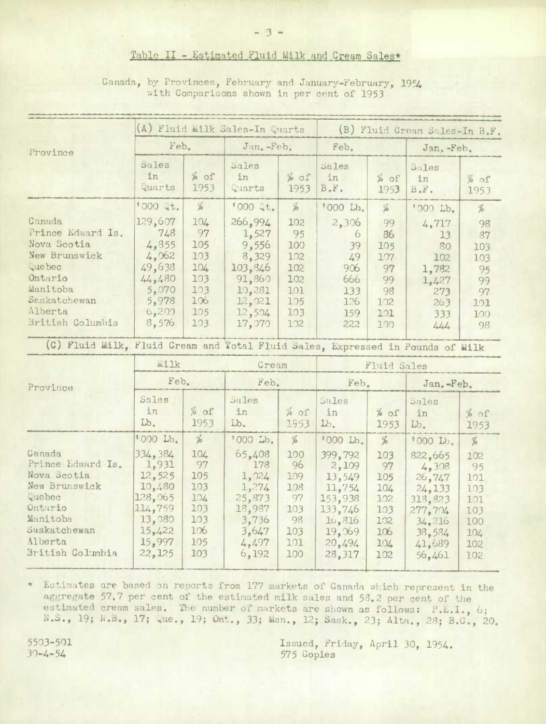## Table II - Estimated Fluid Milk and Cream Sales\*

|  | Canada, by Provinces, February and January-February, 1954 |  |  |  |
|--|-----------------------------------------------------------|--|--|--|
|  | with Comparisons shown in per cent of 1953                |  |  |  |

|                                                                                                                                                     | (A) Fluid Milk Sales-In Quarts                                                                                   |                                                                                          |                                                                                                     |                                                                      | (B) Fluid Cream Sales-In B.F.                                                                                  |                                                                                    |                                                                                                                |                                                                        |  |
|-----------------------------------------------------------------------------------------------------------------------------------------------------|------------------------------------------------------------------------------------------------------------------|------------------------------------------------------------------------------------------|-----------------------------------------------------------------------------------------------------|----------------------------------------------------------------------|----------------------------------------------------------------------------------------------------------------|------------------------------------------------------------------------------------|----------------------------------------------------------------------------------------------------------------|------------------------------------------------------------------------|--|
| Province                                                                                                                                            | Feb.                                                                                                             |                                                                                          | Jan. -Feb.                                                                                          |                                                                      | Feb.                                                                                                           |                                                                                    | Jan. -Feb.                                                                                                     |                                                                        |  |
|                                                                                                                                                     | Sales<br>in<br>Quarts                                                                                            | $%$ of<br>1953                                                                           | Sales<br>in<br>Quarts                                                                               | % of<br>1953                                                         | Sales<br>in<br>B.F.                                                                                            | $%$ of<br>1953                                                                     | Sales<br>in<br>$B$ . $F$ .                                                                                     | $\frac{1}{20}$<br>1953                                                 |  |
|                                                                                                                                                     | 1000 Qt.                                                                                                         | $\frac{d}{d}$                                                                            | 1000 Qt.                                                                                            | $\frac{d}{d}$                                                        | '000 Lb.                                                                                                       | $\frac{c}{\sqrt{2}}$                                                               | '000 Lb.                                                                                                       | $\frac{d}{d}$                                                          |  |
| Canada<br>Prince Edward Is.<br>Nova Scotia<br>New Brunswick<br>Que bec<br>Ontario<br>Manitoba<br>Saskatchewan<br>Alberta<br><b>British Columbia</b> | 129,607<br>748<br>4,855<br>4,062<br>49,638<br>44,480<br>5,070<br>5,978<br>6,200<br>8,576                         | 104<br>97<br>105<br>103<br>104<br>103<br>103<br>106<br>105<br>103                        | 266,994<br>1,527<br>9,556<br>8,329<br>103.846<br>91,860<br>10,281<br>12,021<br>12,504<br>17,070     | 102<br>95<br>100<br>102<br>102<br>102<br>101<br>105<br>103<br>102    | 2,306<br>6<br>39<br>49<br>906<br>666<br>133<br>126<br>159<br>22.2                                              | 99<br>86<br>105<br>107<br>97<br>99<br>98<br>102<br>101<br>100                      | 4,717<br>13<br>80<br>102<br>1,782<br>1,427<br>273<br>263<br>333<br>444                                         | 98<br>87<br>103<br>103<br>95<br>99<br>97<br>101<br>100<br>98           |  |
| (C) Fluid Milk, Fluid Cream and Total Fluid Sales, Expressed in Pounds of Milk                                                                      |                                                                                                                  |                                                                                          |                                                                                                     |                                                                      |                                                                                                                |                                                                                    |                                                                                                                |                                                                        |  |
|                                                                                                                                                     | Wilk<br>Feb.                                                                                                     |                                                                                          | Cream                                                                                               |                                                                      |                                                                                                                | Fluid Sales                                                                        |                                                                                                                |                                                                        |  |
| Province                                                                                                                                            | Sales<br>in<br>Lb.                                                                                               | % of<br>1953                                                                             | Feb.<br>Sales<br>in<br>Lb.                                                                          | $20\,$ $\alpha$<br>1953                                              | Feb.<br>Sales<br>in<br>Lb.                                                                                     | $20\%$<br>1953                                                                     | Jan.-Feb.<br>Sales<br>in<br>Lb.                                                                                | % of<br>1953                                                           |  |
| Canada<br>Prince Edward Is.<br>Nova Scotia<br>New Brunswick<br>Quebec<br>Ontario<br>Manitoba<br>Suskatchewan<br>Alberta<br>British Columbia         | '000 Lb.<br>334, 384<br>1,931<br>12,525<br>10,480<br>128,065<br>114,759<br>13,080<br>15,422<br>15,997<br>22, 125 | $\frac{d}{d\theta}$<br>104<br>97<br>105<br>103<br>104<br>103<br>103<br>106<br>105<br>103 | '000 Lb.<br>65,408<br>178<br>1,024<br>1,274<br>25,873<br>18,987<br>3,736<br>3,647<br>4,497<br>6,192 | %<br>100<br>96<br>109<br>108<br>97<br>103<br>98<br>103<br>101<br>100 | '000 Lb.<br>399,792<br>2,109<br>13,549<br>11,754<br>153,938<br>133,746<br>16,816<br>19,069<br>20,494<br>28,317 | $\frac{d}{d}$<br>103<br>97<br>105<br>104<br>102<br>103<br>102<br>106<br>104<br>102 | '000 Lb.<br>822,665<br>4,308<br>26,747<br>24,133<br>318,823<br>277,704<br>34,216<br>38,584<br>41,689<br>56,461 | %<br>102<br>95<br>101<br>103<br>101<br>103<br>100<br>104<br>102<br>102 |  |

Estimates are based on reports from 177 markets of Canada which represent in the aggregate 57.7 per cent of the estimated milk sales and 53.2 per cent of the estimated cream sales. The number of markets are shown as follows: P.E.I., 6; N.S., 19; N.B., 17; Que., 19; Ont., 33; Man., 12; Sask., 23; Alta., 28; B.C., 20.

5503-501  $30 - 4 - 54$ 

Issued, Friday, April 30, 1954. 575 Copies